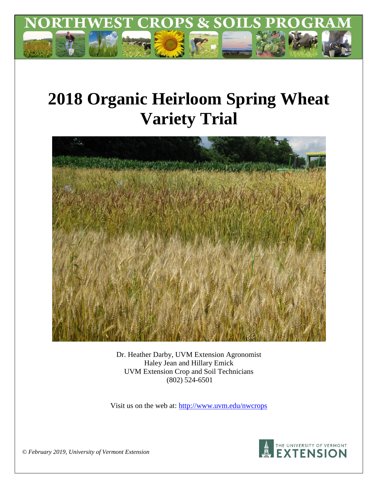

# **2018 Organic Heirloom Spring Wheat Variety Trial**



Dr. Heather Darby, UVM Extension Agronomist Haley Jean and Hillary Emick UVM Extension Crop and Soil Technicians (802) 524-6501

Visit us on the web at:<http://www.uvm.edu/nwcrops>



*© February 2019, University of Vermont Extension*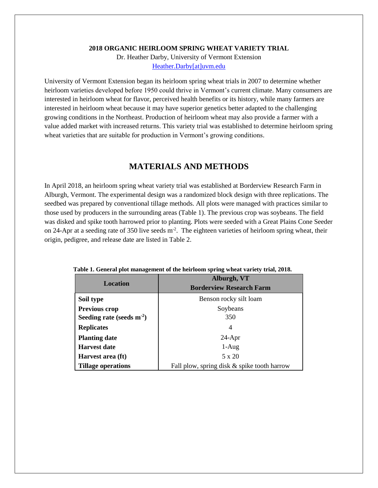#### **2018 ORGANIC HEIRLOOM SPRING WHEAT VARIETY TRIAL**

Dr. Heather Darby, University of Vermont Extension [Heather.Darby\[at\]uvm.edu](mailto:Heather.Darby@uvm.edu)

University of Vermont Extension began its heirloom spring wheat trials in 2007 to determine whether heirloom varieties developed before 1950 could thrive in Vermont's current climate. Many consumers are interested in heirloom wheat for flavor, perceived health benefits or its history, while many farmers are interested in heirloom wheat because it may have superior genetics better adapted to the challenging growing conditions in the Northeast. Production of heirloom wheat may also provide a farmer with a value added market with increased returns. This variety trial was established to determine heirloom spring wheat varieties that are suitable for production in Vermont's growing conditions.

## **MATERIALS AND METHODS**

In April 2018, an heirloom spring wheat variety trial was established at Borderview Research Farm in Alburgh, Vermont. The experimental design was a randomized block design with three replications. The seedbed was prepared by conventional tillage methods. All plots were managed with practices similar to those used by producers in the surrounding areas (Table 1). The previous crop was soybeans. The field was disked and spike tooth harrowed prior to planting. Plots were seeded with a Great Plains Cone Seeder on 24-Apr at a seeding rate of 350 live seeds  $m<sup>2</sup>$ . The eighteen varieties of heirloom spring wheat, their origin, pedigree, and release date are listed in Table 2.

|                                | Alburgh, VT                                 |  |  |  |
|--------------------------------|---------------------------------------------|--|--|--|
| Location                       | <b>Borderview Research Farm</b>             |  |  |  |
| Soil type                      | Benson rocky silt loam                      |  |  |  |
| <b>Previous crop</b>           | Soybeans                                    |  |  |  |
| Seeding rate (seeds $m^{-2}$ ) | 350                                         |  |  |  |
| <b>Replicates</b>              | 4                                           |  |  |  |
| <b>Planting date</b>           | $24-Apr$                                    |  |  |  |
| <b>Harvest date</b>            | $1-Aug$                                     |  |  |  |
| Harvest area (ft)              | 5 x 20                                      |  |  |  |
| Tillage operations             | Fall plow, spring disk & spike tooth harrow |  |  |  |

|  | Table 1. General plot management of the heirloom spring wheat variety trial, 2018. |  |  |  |  |
|--|------------------------------------------------------------------------------------|--|--|--|--|
|--|------------------------------------------------------------------------------------|--|--|--|--|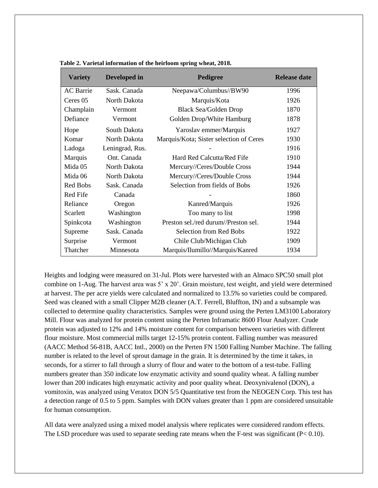| <b>Variety</b>   | Developed in    | Pedigree                                | <b>Release date</b> |  |
|------------------|-----------------|-----------------------------------------|---------------------|--|
| <b>AC</b> Barrie | Sask. Canada    | Neepawa/Columbus//BW90                  | 1996                |  |
| Ceres 05         | North Dakota    | Marquis/Kota                            | 1926                |  |
| Champlain        | Vermont         | <b>Black Sea/Golden Drop</b>            | 1870                |  |
| Defiance         | Vermont         | Golden Drop/White Hamburg               | 1878                |  |
| Hope             | South Dakota    | Yaroslav emmer/Marquis                  | 1927                |  |
| Komar            | North Dakota    | Marquis/Kota; Sister selection of Ceres | 1930                |  |
| Ladoga           | Leningrad, Rus. |                                         | 1916                |  |
| Marquis          | Ont. Canada     | Hard Red Calcutta/Red Fife              | 1910                |  |
| Mida 05          | North Dakota    | Mercury//Ceres/Double Cross             | 1944                |  |
| Mida 06          | North Dakota    | Mercury//Ceres/Double Cross             | 1944                |  |
| <b>Red Bobs</b>  | Sask. Canada    | Selection from fields of Bobs           | 1926                |  |
| <b>Red Fife</b>  | Canada          |                                         | 1860                |  |
| Reliance         | Oregon          | Kanred/Marquis                          | 1926                |  |
| Scarlett         | Washington      | Too many to list                        | 1998                |  |
| Spinkcota        | Washington      | Preston sel./red durum//Preston sel.    | 1944                |  |
| Supreme          | Sask. Canada    | Selection from Red Bobs                 | 1922                |  |
| Surprise         | Vermont         | Chile Club/Michigan Club                | 1909                |  |
| Thatcher         | Minnesota       | Marquis/Ilumillo//Marquis/Kanred        | 1934                |  |

 **Table 2. Varietal information of the heirloom spring wheat, 2018.**

Heights and lodging were measured on 31-Jul. Plots were harvested with an Almaco SPC50 small plot combine on 1-Aug. The harvest area was  $5' \times 20'$ . Grain moisture, test weight, and yield were determined at harvest. The per acre yields were calculated and normalized to 13.5% so varieties could be compared. Seed was cleaned with a small Clipper M2B cleaner (A.T. Ferrell, Bluffton, IN) and a subsample was collected to determine quality characteristics. Samples were ground using the Perten LM3100 Laboratory Mill. Flour was analyzed for protein content using the Perten Inframatic 8600 Flour Analyzer. Crude protein was adjusted to 12% and 14% moisture content for comparison between varieties with different flour moisture. Most commercial mills target 12-15% protein content. Falling number was measured (AACC Method 56-81B, AACC Intl., 2000) on the Perten FN 1500 Falling Number Machine. The falling number is related to the level of sprout damage in the grain. It is determined by the time it takes, in seconds, for a stirrer to fall through a slurry of flour and water to the bottom of a test-tube. Falling numbers greater than 350 indicate low enzymatic activity and sound quality wheat. A falling number lower than 200 indicates high enzymatic activity and poor quality wheat. Deoxynivalenol (DON), a vomitoxin, was analyzed using Veratox DON 5/5 Quantitative test from the NEOGEN Corp. This test has a detection range of 0.5 to 5 ppm. Samples with DON values greater than 1 ppm are considered unsuitable for human consumption.

All data were analyzed using a mixed model analysis where replicates were considered random effects. The LSD procedure was used to separate seeding rate means when the F-test was significant (P< 0.10).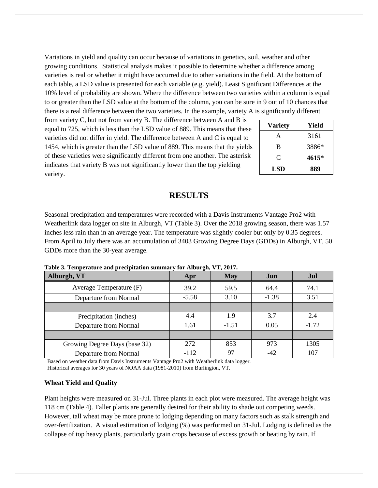Variations in yield and quality can occur because of variations in genetics, soil, weather and other growing conditions. Statistical analysis makes it possible to determine whether a difference among varieties is real or whether it might have occurred due to other variations in the field. At the bottom of each table, a LSD value is presented for each variable (e.g. yield). Least Significant Differences at the 10% level of probability are shown. Where the difference between two varieties within a column is equal to or greater than the LSD value at the bottom of the column, you can be sure in 9 out of 10 chances that there is a real difference between the two varieties. In the example, variety A is significantly different

from variety C, but not from variety B. The difference between A and B is equal to 725, which is less than the LSD value of 889. This means that these varieties did not differ in yield. The difference between A and C is equal to 1454, which is greater than the LSD value of 889. This means that the yields of these varieties were significantly different from one another. The asterisk indicates that variety B was not significantly lower than the top yielding variety.

| <b>Variety</b> | Yield |
|----------------|-------|
| A              | 3161  |
| B              | 3886* |
| C              | 4615* |
| LSD            | 889   |

## **RESULTS**

Seasonal precipitation and temperatures were recorded with a Davis Instruments Vantage Pro2 with Weatherlink data logger on site in Alburgh, VT (Table 3). Over the 2018 growing season, there was 1.57 inches less rain than in an average year. The temperature was slightly cooler but only by 0.35 degrees. From April to July there was an accumulation of 3403 Growing Degree Days (GDDs) in Alburgh, VT, 50 GDDs more than the 30-year average.

| Alburgh, VT                   | Apr     | <b>May</b> | Jun     | Jul     |  |  |
|-------------------------------|---------|------------|---------|---------|--|--|
| Average Temperature (F)       | 39.2    | 59.5       | 64.4    | 74.1    |  |  |
| Departure from Normal         | $-5.58$ | 3.10       | $-1.38$ | 3.51    |  |  |
|                               |         |            |         |         |  |  |
| Precipitation (inches)        | 4.4     | 1.9        | 3.7     | 2.4     |  |  |
| Departure from Normal         | 1.61    | $-1.51$    | 0.05    | $-1.72$ |  |  |
|                               |         |            |         |         |  |  |
| Growing Degree Days (base 32) | 272     | 853        | 973     | 1305    |  |  |
| Departure from Normal         | $-112$  | 97         | $-42$   | 107     |  |  |

**Table 3. Temperature and precipitation summary for Alburgh, VT, 2017.**

Based on weather data from Davis Instruments Vantage Pro2 with Weatherlink data logger. Historical averages for 30 years of NOAA data (1981-2010) from Burlington, VT.

#### **Wheat Yield and Quality**

Plant heights were measured on 31-Jul. Three plants in each plot were measured. The average height was 118 cm (Table 4). Taller plants are generally desired for their ability to shade out competing weeds. However, tall wheat may be more prone to lodging depending on many factors such as stalk strength and over-fertilization. A visual estimation of lodging (%) was performed on 31-Jul. Lodging is defined as the collapse of top heavy plants, particularly grain crops because of excess growth or beating by rain. If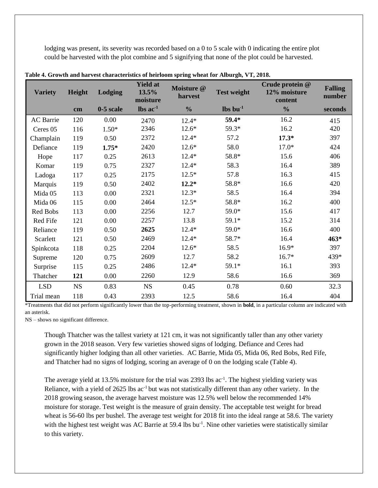lodging was present, its severity was recorded based on a 0 to 5 scale with 0 indicating the entire plot could be harvested with the plot combine and 5 signifying that none of the plot could be harvested.

| <b>Variety</b> | Height      | Lodging     | <b>Yield at</b><br>13.5%<br>moisture | Moisture @<br>harvest | <b>Test weight</b>             | Crude protein @<br>12% moisture<br>content | <b>Falling</b><br>number |
|----------------|-------------|-------------|--------------------------------------|-----------------------|--------------------------------|--------------------------------------------|--------------------------|
|                | cm          | $0-5$ scale | $\text{lbs}$ ac <sup>-1</sup>        | $\frac{0}{0}$         | $\mathbf{lbs}\mathbf{bu}^{-1}$ | $\frac{0}{0}$                              | seconds                  |
| AC Barrie      | 120         | 0.00        | 2470                                 | $12.4*$               | 59.4*                          | 16.2                                       | 415                      |
| Ceres 05       | 116         | $1.50*$     | 2346                                 | $12.6*$               | 59.3*                          | 16.2                                       | 420                      |
| Champlain      | 119         | 0.50        | 2372                                 | $12.4*$               | 57.2                           | $17.3*$                                    | 397                      |
| Defiance       | 119         | $1.75*$     | 2420                                 | $12.6*$               | 58.0                           | $17.0*$                                    | 424                      |
| Hope           | 117         | 0.25        | 2613                                 | $12.4*$               | 58.8*                          | 15.6                                       | 406                      |
| Komar          | 119         | 0.75        | 2327                                 | $12.4*$               | 58.3                           | 16.4                                       | 389                      |
| Ladoga         | 117         | 0.25        | 2175                                 | $12.5*$               | 57.8                           | 16.3                                       | 415                      |
| Marquis        | 119         | 0.50        | 2402                                 | $12.2*$               | 58.8*                          | 16.6                                       | 420                      |
| Mida 05        | 113         | 0.00        | 2321                                 | $12.3*$               | 58.5                           | 16.4                                       | 394                      |
| Mida 06        | 115         | 0.00        | 2464                                 | $12.5*$               | 58.8*                          | 16.2                                       | 400                      |
| Red Bobs       | 113         | 0.00        | 2256                                 | 12.7                  | 59.0*                          | 15.6                                       | 417                      |
| Red Fife       | 121         | 0.00        | 2257                                 | 13.8                  | 59.1*                          | 15.2                                       | 314                      |
| Reliance       | 119         | 0.50        | 2625                                 | $12.4*$               | 59.0*                          | 16.6                                       | 400                      |
| Scarlett       | 121         | 0.50        | 2469                                 | $12.4*$               | 58.7*                          | 16.4                                       | $463*$                   |
| Spinkcota      | 118         | 0.25        | 2204                                 | $12.6*$               | 58.5                           | $16.9*$                                    | 397                      |
| Supreme        | 120         | 0.75        | 2609                                 | 12.7                  | 58.2                           | $16.7*$                                    | 439*                     |
| Surprise       | 115         | 0.25        | 2486                                 | $12.4*$               | 59.1*                          | 16.1                                       | 393                      |
| Thatcher       | 121         | 0.00        | 2260                                 | 12.9                  | 58.6                           | 16.6                                       | 369                      |
| <b>LSD</b>     | $_{\rm NS}$ | 0.83        | $_{\rm NS}$                          | 0.45                  | 0.78                           | 0.60                                       | 32.3                     |
| Trial mean     | 118         | 0.43        | 2393                                 | 12.5                  | 58.6                           | 16.4                                       | 404                      |

**Table 4. Growth and harvest characteristics of heirloom spring wheat for Alburgh, VT, 2018.**

\*Treatments that did not perform significantly lower than the top-performing treatment, shown in **bold**, in a particular column are indicated with an asterisk.

NS – shows no significant difference.

Though Thatcher was the tallest variety at 121 cm, it was not significantly taller than any other variety grown in the 2018 season. Very few varieties showed signs of lodging. Defiance and Ceres had significantly higher lodging than all other varieties. AC Barrie, Mida 05, Mida 06, Red Bobs, Red Fife, and Thatcher had no signs of lodging, scoring an average of 0 on the lodging scale (Table 4).

The average yield at 13.5% moisture for the trial was 2393 lbs  $ac^{-1}$ . The highest yielding variety was Reliance, with a yield of 2625 lbs ac<sup>-1</sup> but was not statistically different than any other variety. In the 2018 growing season, the average harvest moisture was 12.5% well below the recommended 14% moisture for storage. Test weight is the measure of grain density. The acceptable test weight for bread wheat is 56-60 lbs per bushel. The average test weight for 2018 fit into the ideal range at 58.6. The variety with the highest test weight was AC Barrie at 59.4 lbs bu<sup>-1</sup>. Nine other varieties were statistically similar to this variety.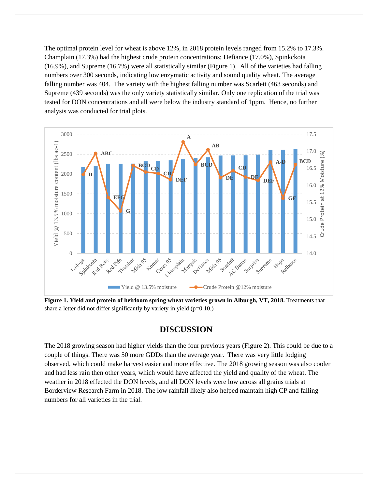The optimal protein level for wheat is above 12%, in 2018 protein levels ranged from 15.2% to 17.3%. Champlain (17.3%) had the highest crude protein concentrations; Defiance (17.0%), Spinkckota (16.9%), and Supreme (16.7%) were all statistically similar (Figure 1). All of the varieties had falling numbers over 300 seconds, indicating low enzymatic activity and sound quality wheat. The average falling number was 404. The variety with the highest falling number was Scarlett (463 seconds) and Supreme (439 seconds) was the only variety statistically similar. Only one replication of the trial was tested for DON concentrations and all were below the industry standard of 1ppm. Hence, no further analysis was conducted for trial plots.



**Figure 1. Yield and protein of heirloom spring wheat varieties grown in Alburgh, VT, 2018.** Treatments that share a letter did not differ significantly by variety in yield (p=0.10.)

#### **DISCUSSION**

The 2018 growing season had higher yields than the four previous years (Figure 2). This could be due to a couple of things. There was 50 more GDDs than the average year. There was very little lodging observed, which could make harvest easier and more effective. The 2018 growing season was also cooler and had less rain then other years, which would have affected the yield and quality of the wheat. The weather in 2018 effected the DON levels, and all DON levels were low across all grains trials at Borderview Research Farm in 2018. The low rainfall likely also helped maintain high CP and falling numbers for all varieties in the trial.